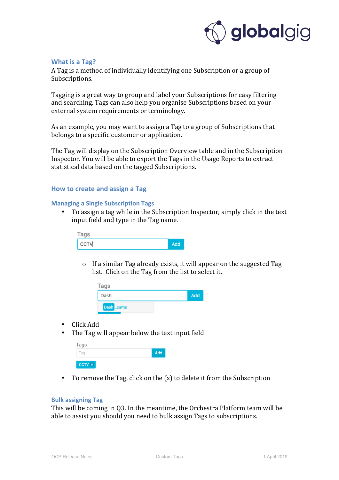

# **What is a Tag?**

A Tag is a method of individually identifying one Subscription or a group of Subscriptions.

Tagging is a great way to group and label your Subscriptions for easy filtering and searching. Tags can also help you organise Subscriptions based on your external system requirements or terminology.

As an example, you may want to assign a Tag to a group of Subscriptions that belongs to a specific customer or application.

The Tag will display on the Subscription Overview table and in the Subscription Inspector. You will be able to export the Tags in the Usage Reports to extract statistical data based on the tagged Subscriptions.

### **How to create and assign a Tag**

### **Managing a Single Subscription Tags**

To assign a tag while in the Subscription Inspector, simply click in the text input field and type in the Tag name.

| Tags     |     |
|----------|-----|
| $ $ CCTV | Add |

 $\circ$  If a similar Tag already exists, it will appear on the suggested Tag list. Click on the Tag from the list to select it.

| Tags       |     |
|------------|-----|
| Dash       | Add |
| Dash _cams |     |

- Click Add
- The Tag will appear below the text input field

| Tags   |     |
|--------|-----|
| Tag    | Add |
| CCTV x |     |

• To remove the Tag, click on the  $(x)$  to delete it from the Subscription

### **Bulk assigning Tag**

This will be coming in Q3. In the meantime, the Orchestra Platform team will be able to assist you should you need to bulk assign Tags to subscriptions.